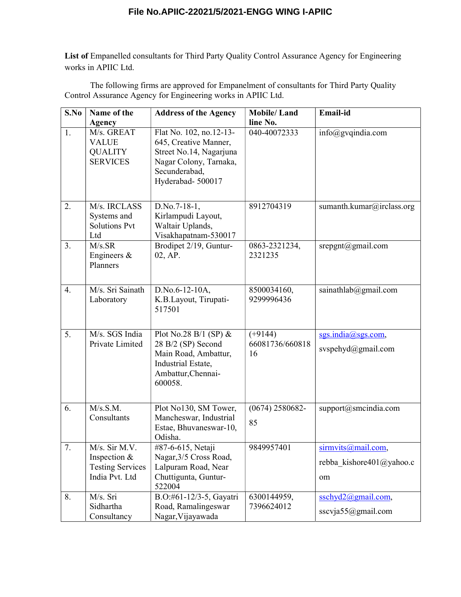## **File No.APIIC-22021/5/2021-ENGG WING I-APIIC**

List of Empanelled consultants for Third Party Quality Control Assurance Agency for Engineering works in APIIC Ltd.

The following firms are approved for Empanelment of consultants for Third Party Quality Control Assurance Agency for Engineering works in APIIC Ltd.

| S.No             | Name of the                                                                | <b>Address of the Agency</b>                                                                                                               | <b>Mobile/Land</b>                 | Email-id                                             |
|------------------|----------------------------------------------------------------------------|--------------------------------------------------------------------------------------------------------------------------------------------|------------------------------------|------------------------------------------------------|
|                  | Agency                                                                     |                                                                                                                                            | line No.                           |                                                      |
| 1.               | M/s. GREAT<br><b>VALUE</b><br><b>QUALITY</b><br><b>SERVICES</b>            | Flat No. 102, no.12-13-<br>645, Creative Manner,<br>Street No.14, Nagarjuna<br>Nagar Colony, Tarnaka,<br>Secunderabad,<br>Hyderabad-500017 | 040-40072333                       | info@gvqindia.com                                    |
| 2.               | M/s. IRCLASS<br>Systems and<br><b>Solutions Pvt</b><br>Ltd                 | D.No.7-18-1,<br>Kirlampudi Layout,<br>Waltair Uplands,<br>Visakhapatnam-530017                                                             | 8912704319                         | sumanth.kumar@irclass.org                            |
| 3.               | M/s.SR<br>Engineers $\&$<br>Planners                                       | Brodipet 2/19, Guntur-<br>02, AP.                                                                                                          | 0863-2321234,<br>2321235           | srepgnt@gmail.com                                    |
| $\overline{4}$ . | M/s. Sri Sainath<br>Laboratory                                             | D.No.6-12-10A,<br>K.B.Layout, Tirupati-<br>517501                                                                                          | 8500034160,<br>9299996436          | sainathlab@gmail.com                                 |
| 5.               | M/s. SGS India<br>Private Limited                                          | Plot No.28 B/1 (SP) &<br>28 B/2 (SP) Second<br>Main Road, Ambattur,<br>Industrial Estate,<br>Ambattur, Chennai-<br>600058.                 | $(+9144)$<br>66081736/660818<br>16 | sgs.india@sgs.com,<br>svspehyd@gmail.com             |
| 6.               | M/s.S.M.<br>Consultants                                                    | Plot No130, SM Tower,<br>Mancheswar, Industrial<br>Estae, Bhuvaneswar-10,<br>Odisha.                                                       | $(0674)$ 2580682-<br>85            | support@smcindia.com                                 |
| 7.               | M/s. Sir M.V.<br>Inspection &<br><b>Testing Services</b><br>India Pvt. Ltd | #87-6-615, Netaji<br>Nagar, 3/5 Cross Road,<br>Lalpuram Road, Near<br>Chuttigunta, Guntur-<br>522004                                       | 9849957401                         | sirmvits@mail.com,<br>rebba kishore401@yahoo.c<br>om |
| 8.               | M/s. Sri<br>Sidhartha<br>Consultancy                                       | B.O:#61-12/3-5, Gayatri<br>Road, Ramalingeswar<br>Nagar, Vijayawada                                                                        | 6300144959,<br>7396624012          | sschyd2@gmail.com,<br>sscvja55@gmail.com             |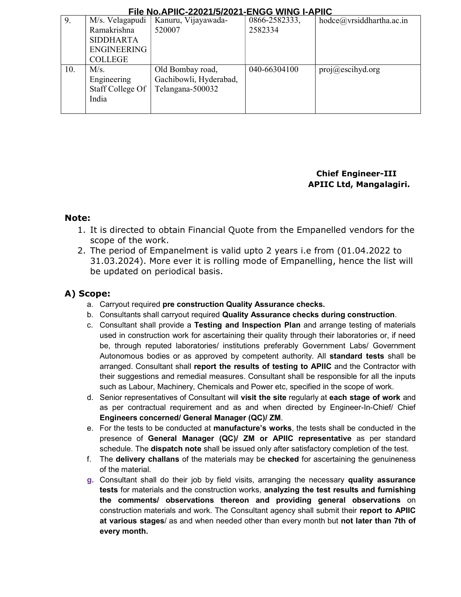#### **File No.APIIC-22021/5/2021-ENGG WING I-APIIC**

|     |                    | $10.11$ $11.01$ $11.0$ $1.01$ $1.01$ $1.01$ | -1199 11119 1 | טו ור                      |
|-----|--------------------|---------------------------------------------|---------------|----------------------------|
| 9.  | M/s. Velagapudi    | Kanuru, Vijayawada-                         | 0866-2582333, | hodce@vrsiddhartha.ac.in   |
|     | Ramakrishna        | 520007                                      | 2582334       |                            |
|     | <b>SIDDHARTA</b>   |                                             |               |                            |
|     | <b>ENGINEERING</b> |                                             |               |                            |
|     | <b>COLLEGE</b>     |                                             |               |                            |
| 10. | M/s.               | Old Bombay road,                            | 040-66304100  | $proj(\omega)$ escihyd.org |
|     | Engineering        | Gachibowli, Hyderabad,                      |               |                            |
|     | Staff College Of   | Telangana-500032                            |               |                            |
|     | India              |                                             |               |                            |
|     |                    |                                             |               |                            |

## Chief Engineer-III APIIC Ltd, Mangalagiri.

### Note:

- 1. It is directed to obtain Financial Quote from the Empanelled vendors for the scope of the work.
- 2. The period of Empanelment is valid upto 2 years i.e from (01.04.2022 to 31.03.2024). More ever it is rolling mode of Empanelling, hence the list will be updated on periodical basis.

## A) Scope:

- a. Carryout required pre construction Quality Assurance checks.
- b. Consultants shall carryout required Quality Assurance checks during construction.
- c. Consultant shall provide a Testing and Inspection Plan and arrange testing of materials used in construction work for ascertaining their quality through their laboratories or, if need be, through reputed laboratories/ institutions preferably Government Labs/ Government Autonomous bodies or as approved by competent authority. All standard tests shall be arranged. Consultant shall report the results of testing to APIIC and the Contractor with their suggestions and remedial measures. Consultant shall be responsible for all the inputs such as Labour, Machinery, Chemicals and Power etc, specified in the scope of work.
- d. Senior representatives of Consultant will visit the site regularly at each stage of work and as per contractual requirement and as and when directed by Engineer-In-Chief/ Chief Engineers concerned/ General Manager (QC)/ ZM.
- e. For the tests to be conducted at manufacture's works, the tests shall be conducted in the presence of General Manager (QC)/ ZM or APIIC representative as per standard schedule. The **dispatch note** shall be issued only after satisfactory completion of the test.
- f. The delivery challans of the materials may be checked for ascertaining the genuineness of the material.
- g. Consultant shall do their job by field visits, arranging the necessary quality assurance tests for materials and the construction works, analyzing the test results and furnishing the comments/ observations thereon and providing general observations on construction materials and work. The Consultant agency shall submit their report to APIIC at various stages/ as and when needed other than every month but not later than 7th of every month.